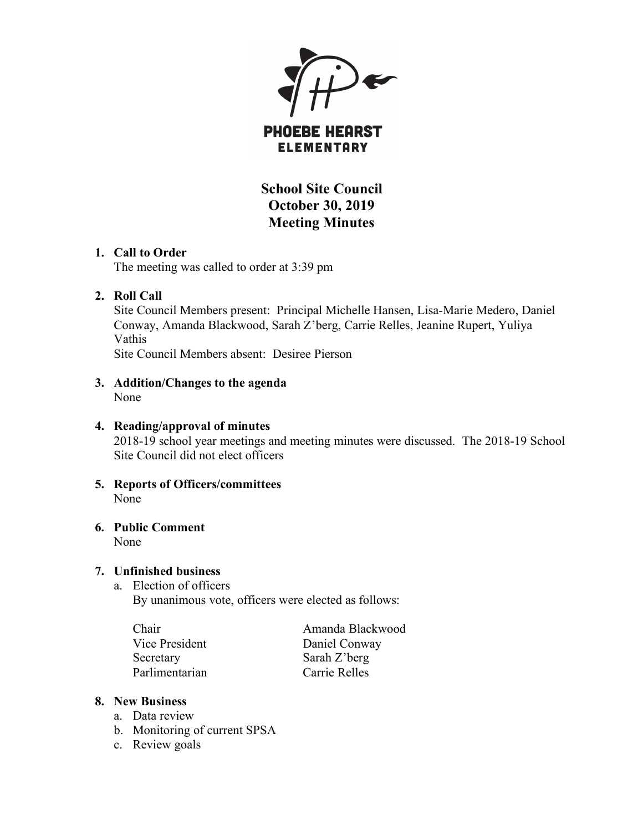

# **PHOEBE HEARST ELEMENTARY**

**School Site Council October 30, 2019 Meeting Minutes**

### **1. Call to Order**

The meeting was called to order at 3:39 pm

## **2. Roll Call**

Site Council Members present: Principal Michelle Hansen, Lisa-Marie Medero, Daniel Conway, Amanda Blackwood, Sarah Z'berg, Carrie Relles, Jeanine Rupert, Yuliya Vathis

Site Council Members absent: Desiree Pierson

**3. Addition/Changes to the agenda** None

# **4. Reading/approval of minutes**

2018-19 school year meetings and meeting minutes were discussed. The 2018-19 School Site Council did not elect officers

**5. Reports of Officers/committees** None

#### **6. Public Comment** None

# **7. Unfinished business**

a. Election of officers By unanimous vote, officers were elected as follows:

Chair **Amanda Blackwood** Vice President Daniel Conway Secretary Sarah Z'berg Parlimentarian Carrie Relles

## **8. New Business**

- a. Data review
- b. Monitoring of current SPSA
- c. Review goals